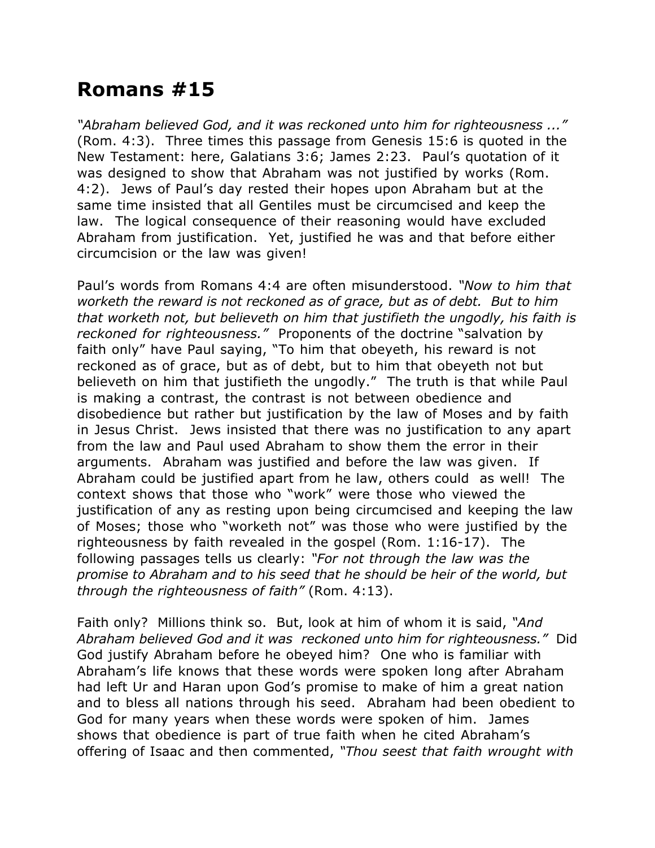## **Romans #15**

*"Abraham believed God, and it was reckoned unto him for righteousness ..."* (Rom. 4:3). Three times this passage from Genesis 15:6 is quoted in the New Testament: here, Galatians 3:6; James 2:23. Paul's quotation of it was designed to show that Abraham was not justified by works (Rom. 4:2). Jews of Paul's day rested their hopes upon Abraham but at the same time insisted that all Gentiles must be circumcised and keep the law. The logical consequence of their reasoning would have excluded Abraham from justification. Yet, justified he was and that before either circumcision or the law was given!

Paul's words from Romans 4:4 are often misunderstood. *"Now to him that worketh the reward is not reckoned as of grace, but as of debt. But to him that worketh not, but believeth on him that justifieth the ungodly, his faith is reckoned for righteousness."* Proponents of the doctrine "salvation by faith only" have Paul saying, "To him that obeyeth, his reward is not reckoned as of grace, but as of debt, but to him that obeyeth not but believeth on him that justifieth the ungodly." The truth is that while Paul is making a contrast, the contrast is not between obedience and disobedience but rather but justification by the law of Moses and by faith in Jesus Christ. Jews insisted that there was no justification to any apart from the law and Paul used Abraham to show them the error in their arguments. Abraham was justified and before the law was given. If Abraham could be justified apart from he law, others could as well! The context shows that those who "work" were those who viewed the justification of any as resting upon being circumcised and keeping the law of Moses; those who "worketh not" was those who were justified by the righteousness by faith revealed in the gospel (Rom. 1:16-17). The following passages tells us clearly: *"For not through the law was the promise to Abraham and to his seed that he should be heir of the world, but through the righteousness of faith"* (Rom. 4:13).

Faith only? Millions think so. But, look at him of whom it is said, *"And Abraham believed God and it was reckoned unto him for righteousness."* Did God justify Abraham before he obeyed him? One who is familiar with Abraham's life knows that these words were spoken long after Abraham had left Ur and Haran upon God's promise to make of him a great nation and to bless all nations through his seed. Abraham had been obedient to God for many years when these words were spoken of him. James shows that obedience is part of true faith when he cited Abraham's offering of Isaac and then commented, *"Thou seest that faith wrought with*